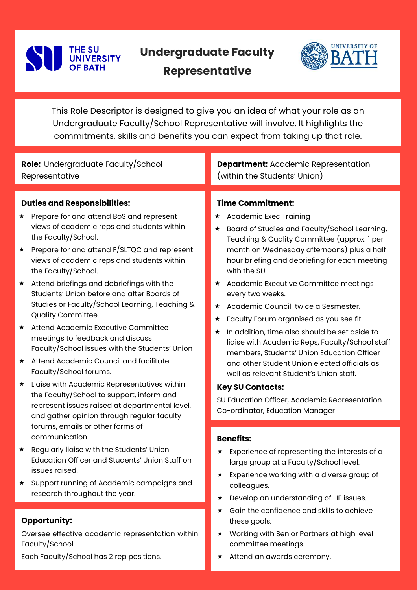

# **Undergraduate Faculty**



**Representative**

This Role Descriptor is designed to give you an idea of what your role as an Undergraduate Faculty/School Representative will involve. It highlights the commitments, skills and benefits you can expect from taking up that role.

**Role:** Undergraduate Faculty/School Representative

#### **Duties and Responsibilities:**

- \* Prepare for and attend BoS and represent views of academic reps and students within the Faculty/School.
- $\star$  Prepare for and attend F/SLTQC and represent views of academic reps and students within the Faculty/School.
- $\star$  Attend briefings and debriefings with the Students' Union before and after Boards of Studies or Faculty/School Learning, Teaching & Quality Committee.
- $\star$  Attend Academic Executive Committee meetings to feedback and discuss Faculty/School issues with the Students' Union
- $\star$  Attend Academic Council and facilitate Faculty/School forums.
- $\star$  Liaise with Academic Representatives within the Faculty/School to support, inform and represent issues raised at departmental level, and gather opinion through regular faculty forums, emails or other forms of communication.
- $\star$  Regularly liaise with the Students' Union Education Officer and Students' Union Staff on issues raised.
- Support running of Academic campaigns and research throughout the year.

# Opportunity:

Oversee effective academic representation within Faculty/School.

Each Faculty/School has 2 rep positions.

Attend and support Academic Reps

**Department:** Academic Representation (within the Students' Union)

#### **Time Commitment:**

- $\star$  Academic Exec Training
- $\star$  Board of Studies and Faculty/School Learning, Teaching & Quality Committee (approx. 1 per month on Wednesday afternoons) plus a half hour briefing and debriefing for each meeting with the SU.
- \* Academic Executive Committee meetings every two weeks.
- \* Academic Council twice a Sesmester.
- \* Faculty Forum organised as you see fit.
- $\star$  In addition, time also should be set aside to liaise with Academic Reps, Faculty/School staff members, Students' Union Education Officer and other Student Union elected officials as well as relevant Student's Union staff.

#### **Key SU Contacts:**

SU Education Officer, Academic Representation Co-ordinator, Education Manager

#### **Benefits:**

- \* Experience of representing the interests of a large group at a Faculty/School level.
- \* Experience working with a diverse group of colleagues.
- Develop an understanding of HE issues.
- $\star$  Gain the confidence and skills to achieve these goals.
- Working with Senior Partners at high level committee meetings.
- $\star$  Attend an awards ceremony.